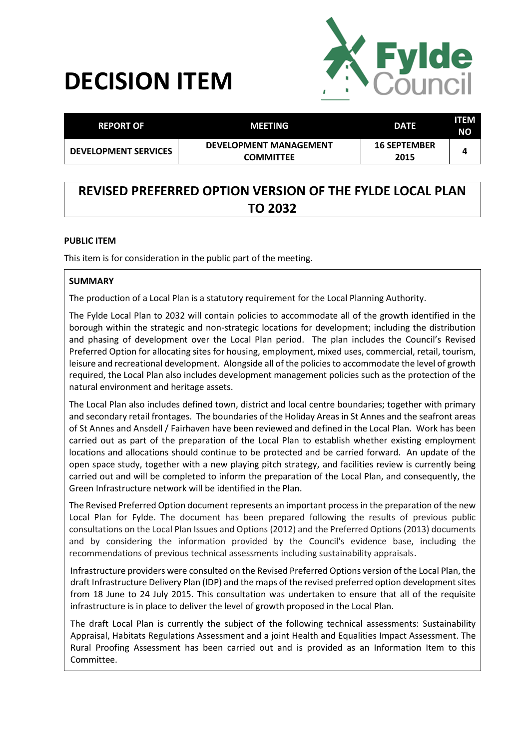# **DECISION ITEM**



| <b>REPORT OF</b>            | MEETING                                           | <b>DATE</b>                 | ITEM<br><b>NO</b> |
|-----------------------------|---------------------------------------------------|-----------------------------|-------------------|
| <b>DEVELOPMENT SERVICES</b> | <b>DEVELOPMENT MANAGEMENT</b><br><b>COMMITTEE</b> | <b>16 SEPTEMBER</b><br>2015 |                   |

# **REVISED PREFERRED OPTION VERSION OF THE FYLDE LOCAL PLAN TO 2032**

#### **PUBLIC ITEM**

This item is for consideration in the public part of the meeting.

#### **SUMMARY**

The production of a Local Plan is a statutory requirement for the Local Planning Authority.

The Fylde Local Plan to 2032 will contain policies to accommodate all of the growth identified in the borough within the strategic and non-strategic locations for development; including the distribution and phasing of development over the Local Plan period. The plan includes the Council's Revised Preferred Option for allocating sites for housing, employment, mixed uses, commercial, retail, tourism, leisure and recreational development. Alongside all of the policies to accommodate the level of growth required, the Local Plan also includes development management policies such as the protection of the natural environment and heritage assets.

The Local Plan also includes defined town, district and local centre boundaries; together with primary and secondary retail frontages. The boundaries of the Holiday Areas in St Annes and the seafront areas of St Annes and Ansdell / Fairhaven have been reviewed and defined in the Local Plan. Work has been carried out as part of the preparation of the Local Plan to establish whether existing employment locations and allocations should continue to be protected and be carried forward. An update of the open space study, together with a new playing pitch strategy, and facilities review is currently being carried out and will be completed to inform the preparation of the Local Plan, and consequently, the Green Infrastructure network will be identified in the Plan.

The Revised Preferred Option document represents an important process in the preparation of the new Local Plan for Fylde. The document has been prepared following the results of previous public consultations on the Local Plan Issues and Options (2012) and the Preferred Options (2013) documents and by considering the information provided by the Council's evidence base, including the recommendations of previous technical assessments including sustainability appraisals.

Infrastructure providers were consulted on the Revised Preferred Options version of the Local Plan, the draft Infrastructure Delivery Plan (IDP) and the maps of the revised preferred option development sites from 18 June to 24 July 2015. This consultation was undertaken to ensure that all of the requisite infrastructure is in place to deliver the level of growth proposed in the Local Plan.

The draft Local Plan is currently the subject of the following technical assessments: Sustainability Appraisal, Habitats Regulations Assessment and a joint Health and Equalities Impact Assessment. The Rural Proofing Assessment has been carried out and is provided as an Information Item to this Committee.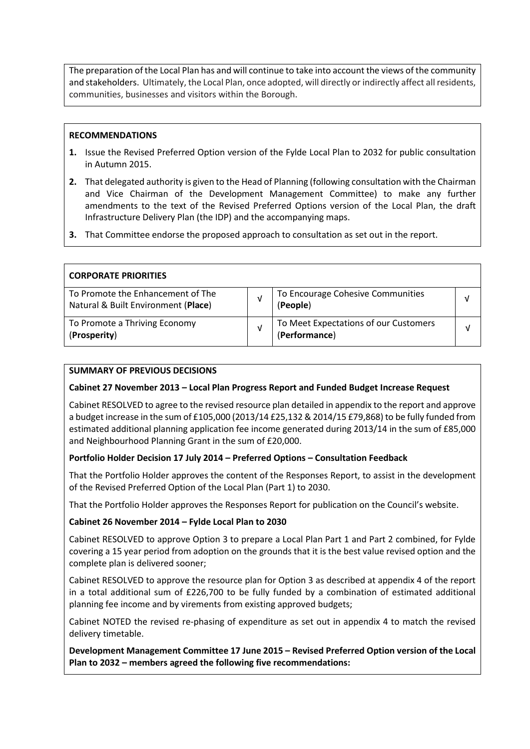The preparation of the Local Plan has and will continue to take into account the views of the community and stakeholders. Ultimately, the Local Plan, once adopted, will directly or indirectly affect all residents, communities, businesses and visitors within the Borough.

#### **RECOMMENDATIONS**

- **1.** Issue the Revised Preferred Option version of the Fylde Local Plan to 2032 for public consultation in Autumn 2015.
- **2.** That delegated authority is given to the Head of Planning (following consultation with the Chairman and Vice Chairman of the Development Management Committee) to make any further amendments to the text of the Revised Preferred Options version of the Local Plan, the draft Infrastructure Delivery Plan (the IDP) and the accompanying maps.
- **3.** That Committee endorse the proposed approach to consultation as set out in the report.

| <b>CORPORATE PRIORITIES</b>                                              |                                                        |  |
|--------------------------------------------------------------------------|--------------------------------------------------------|--|
| To Promote the Enhancement of The<br>Natural & Built Environment (Place) | To Encourage Cohesive Communities<br>(People)          |  |
| To Promote a Thriving Economy<br>(Prosperity)                            | To Meet Expectations of our Customers<br>(Performance) |  |

#### **SUMMARY OF PREVIOUS DECISIONS**

#### **Cabinet 27 November 2013 – Local Plan Progress Report and Funded Budget Increase Request**

Cabinet RESOLVED to agree to the revised resource plan detailed in appendix to the report and approve a budget increase in the sum of £105,000 (2013/14 £25,132 & 2014/15 £79,868) to be fully funded from estimated additional planning application fee income generated during 2013/14 in the sum of £85,000 and Neighbourhood Planning Grant in the sum of £20,000.

## **Portfolio Holder Decision 17 July 2014 – Preferred Options – Consultation Feedback**

That the Portfolio Holder approves the content of the Responses Report, to assist in the development of the Revised Preferred Option of the Local Plan (Part 1) to 2030.

That the Portfolio Holder approves the Responses Report for publication on the Council's website.

#### **Cabinet 26 November 2014 – Fylde Local Plan to 2030**

Cabinet RESOLVED to approve Option 3 to prepare a Local Plan Part 1 and Part 2 combined, for Fylde covering a 15 year period from adoption on the grounds that it is the best value revised option and the complete plan is delivered sooner;

Cabinet RESOLVED to approve the resource plan for Option 3 as described at appendix 4 of the report in a total additional sum of £226,700 to be fully funded by a combination of estimated additional planning fee income and by virements from existing approved budgets;

Cabinet NOTED the revised re-phasing of expenditure as set out in appendix 4 to match the revised delivery timetable.

**Development Management Committee 17 June 2015 – Revised Preferred Option version of the Local Plan to 2032 – members agreed the following five recommendations:**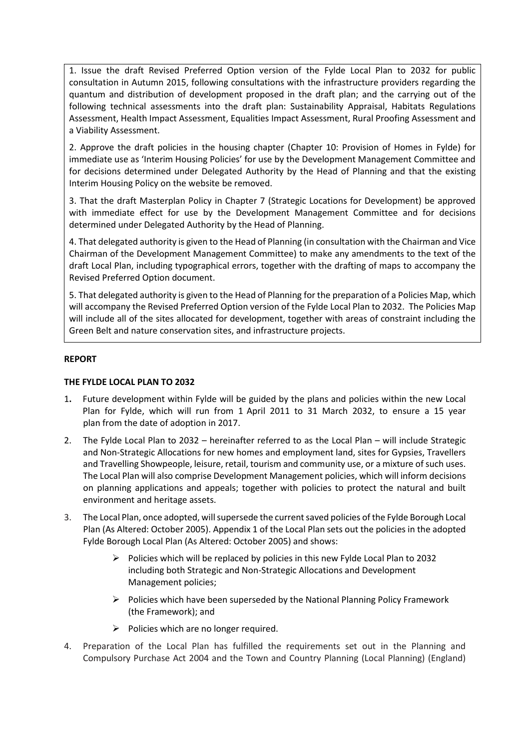1. Issue the draft Revised Preferred Option version of the Fylde Local Plan to 2032 for public consultation in Autumn 2015, following consultations with the infrastructure providers regarding the quantum and distribution of development proposed in the draft plan; and the carrying out of the following technical assessments into the draft plan: Sustainability Appraisal, Habitats Regulations Assessment, Health Impact Assessment, Equalities Impact Assessment, Rural Proofing Assessment and a Viability Assessment.

2. Approve the draft policies in the housing chapter (Chapter 10: Provision of Homes in Fylde) for immediate use as 'Interim Housing Policies' for use by the Development Management Committee and for decisions determined under Delegated Authority by the Head of Planning and that the existing Interim Housing Policy on the website be removed.

3. That the draft Masterplan Policy in Chapter 7 (Strategic Locations for Development) be approved with immediate effect for use by the Development Management Committee and for decisions determined under Delegated Authority by the Head of Planning.

4. That delegated authority is given to the Head of Planning (in consultation with the Chairman and Vice Chairman of the Development Management Committee) to make any amendments to the text of the draft Local Plan, including typographical errors, together with the drafting of maps to accompany the Revised Preferred Option document.

5. That delegated authority is given to the Head of Planning for the preparation of a Policies Map, which will accompany the Revised Preferred Option version of the Fylde Local Plan to 2032. The Policies Map will include all of the sites allocated for development, together with areas of constraint including the Green Belt and nature conservation sites, and infrastructure projects.

#### **REPORT**

#### **THE FYLDE LOCAL PLAN TO 2032**

- 1**.** Future development within Fylde will be guided by the plans and policies within the new Local Plan for Fylde, which will run from 1 April 2011 to 31 March 2032, to ensure a 15 year plan from the date of adoption in 2017.
- 2. The Fylde Local Plan to 2032 hereinafter referred to as the Local Plan will include Strategic and Non-Strategic Allocations for new homes and employment land, sites for Gypsies, Travellers and Travelling Showpeople, leisure, retail, tourism and community use, or a mixture of such uses. The Local Plan will also comprise Development Management policies, which will inform decisions on planning applications and appeals; together with policies to protect the natural and built environment and heritage assets.
- 3. The Local Plan, once adopted, will supersede the current saved policies of the Fylde Borough Local Plan (As Altered: October 2005). Appendix 1 of the Local Plan sets out the policies in the adopted Fylde Borough Local Plan (As Altered: October 2005) and shows:
	- $\triangleright$  Policies which will be replaced by policies in this new Fylde Local Plan to 2032 including both Strategic and Non-Strategic Allocations and Development Management policies;
	- $\triangleright$  Policies which have been superseded by the National Planning Policy Framework (the Framework); and
	- $\triangleright$  Policies which are no longer required.
- 4. Preparation of the Local Plan has fulfilled the requirements set out in the Planning and Compulsory Purchase Act 2004 and the Town and Country Planning (Local Planning) (England)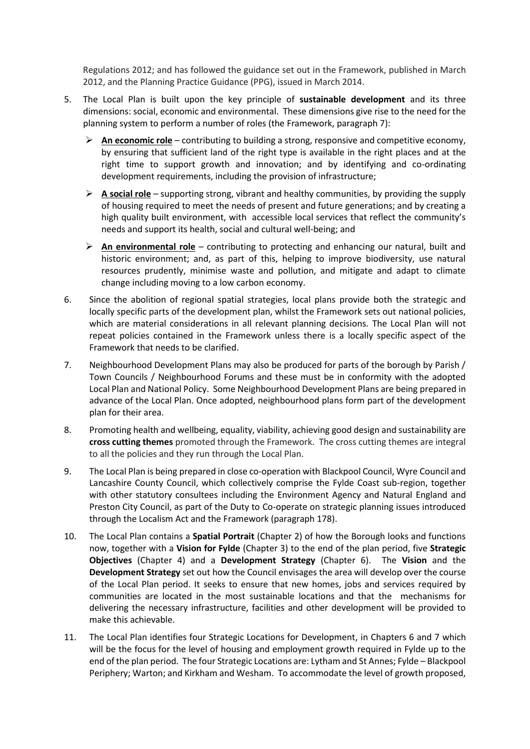Regulations 2012; and has followed the guidance set out in the Framework, published in March 2012, and the Planning Practice Guidance (PPG), issued in March 2014.

- 5. The Local Plan is built upon the key principle of **sustainable development** and its three dimensions: social, economic and environmental. These dimensions give rise to the need for the planning system to perform a number of roles (the Framework, paragraph 7):
	- **An economic role** contributing to building a strong, responsive and competitive economy, by ensuring that sufficient land of the right type is available in the right places and at the right time to support growth and innovation; and by identifying and co-ordinating development requirements, including the provision of infrastructure;
	- **A social role** supporting strong, vibrant and healthy communities, by providing the supply of housing required to meet the needs of present and future generations; and by creating a high quality built environment, with accessible local services that reflect the community's needs and support its health, social and cultural well-being; and
	- **An environmental role** contributing to protecting and enhancing our natural, built and historic environment; and, as part of this, helping to improve biodiversity, use natural resources prudently, minimise waste and pollution, and mitigate and adapt to climate change including moving to a low carbon economy.
- 6. Since the abolition of regional spatial strategies, local plans provide both the strategic and locally specific parts of the development plan, whilst the Framework sets out national policies, which are material considerations in all relevant planning decisions. The Local Plan will not repeat policies contained in the Framework unless there is a locally specific aspect of the Framework that needs to be clarified.
- 7. Neighbourhood Development Plans may also be produced for parts of the borough by Parish / Town Councils / Neighbourhood Forums and these must be in conformity with the adopted Local Plan and National Policy. Some Neighbourhood Development Plans are being prepared in advance of the Local Plan. Once adopted, neighbourhood plans form part of the development plan for their area.
- 8. Promoting health and wellbeing, equality, viability, achieving good design and sustainability are **cross cutting themes** promoted through the Framework. The cross cutting themes are integral to all the policies and they run through the Local Plan.
- 9. The Local Plan is being prepared in close co-operation with Blackpool Council, Wyre Council and Lancashire County Council, which collectively comprise the Fylde Coast sub-region, together with other statutory consultees including the Environment Agency and Natural England and Preston City Council, as part of the Duty to Co-operate on strategic planning issues introduced through the Localism Act and the Framework (paragraph 178).
- 10. The Local Plan contains a **Spatial Portrait** (Chapter 2) of how the Borough looks and functions now, together with a **Vision for Fylde** (Chapter 3) to the end of the plan period, five **Strategic Objectives** (Chapter 4) and a **Development Strategy** (Chapter 6).The **Vision** and the **Development Strategy** set out how the Council envisages the area will develop over the course of the Local Plan period. It seeks to ensure that new homes, jobs and services required by communities are located in the most sustainable locations and that the mechanisms for delivering the necessary infrastructure, facilities and other development will be provided to make this achievable.
- 11. The Local Plan identifies four Strategic Locations for Development, in Chapters 6 and 7 which will be the focus for the level of housing and employment growth required in Fylde up to the end of the plan period. The four Strategic Locations are: Lytham and St Annes; Fylde – Blackpool Periphery; Warton; and Kirkham and Wesham. To accommodate the level of growth proposed,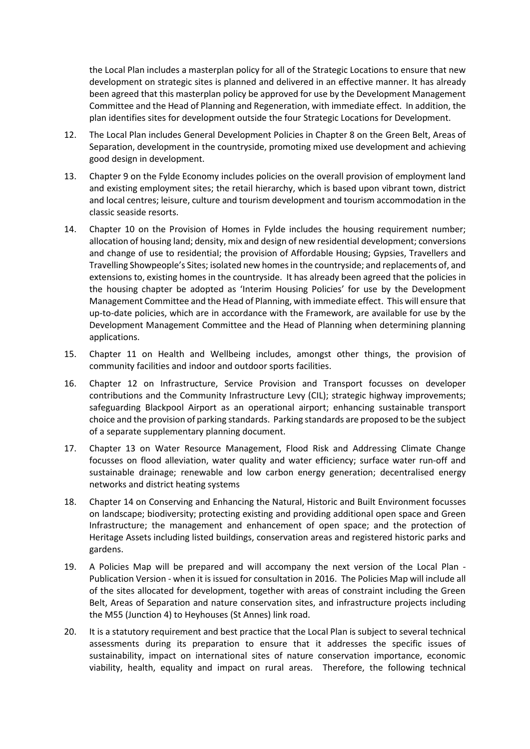the Local Plan includes a masterplan policy for all of the Strategic Locations to ensure that new development on strategic sites is planned and delivered in an effective manner. It has already been agreed that this masterplan policy be approved for use by the Development Management Committee and the Head of Planning and Regeneration, with immediate effect. In addition, the plan identifies sites for development outside the four Strategic Locations for Development.

- 12. The Local Plan includes General Development Policies in Chapter 8 on the Green Belt, Areas of Separation, development in the countryside, promoting mixed use development and achieving good design in development.
- 13. Chapter 9 on the Fylde Economy includes policies on the overall provision of employment land and existing employment sites; the retail hierarchy, which is based upon vibrant town, district and local centres; leisure, culture and tourism development and tourism accommodation in the classic seaside resorts.
- 14. Chapter 10 on the Provision of Homes in Fylde includes the housing requirement number; allocation of housing land; density, mix and design of new residential development; conversions and change of use to residential; the provision of Affordable Housing; Gypsies, Travellers and Travelling Showpeople's Sites; isolated new homes in the countryside; and replacements of, and extensions to, existing homes in the countryside. It has already been agreed that the policies in the housing chapter be adopted as 'Interim Housing Policies' for use by the Development Management Committee and the Head of Planning, with immediate effect. This will ensure that up-to-date policies, which are in accordance with the Framework, are available for use by the Development Management Committee and the Head of Planning when determining planning applications.
- 15. Chapter 11 on Health and Wellbeing includes, amongst other things, the provision of community facilities and indoor and outdoor sports facilities.
- 16. Chapter 12 on Infrastructure, Service Provision and Transport focusses on developer contributions and the Community Infrastructure Levy (CIL); strategic highway improvements; safeguarding Blackpool Airport as an operational airport; enhancing sustainable transport choice and the provision of parking standards. Parking standards are proposed to be the subject of a separate supplementary planning document.
- 17. Chapter 13 on Water Resource Management, Flood Risk and Addressing Climate Change focusses on flood alleviation, water quality and water efficiency; surface water run-off and sustainable drainage; renewable and low carbon energy generation; decentralised energy networks and district heating systems
- 18. Chapter 14 on Conserving and Enhancing the Natural, Historic and Built Environment focusses on landscape; biodiversity; protecting existing and providing additional open space and Green Infrastructure; the management and enhancement of open space; and the protection of Heritage Assets including listed buildings, conservation areas and registered historic parks and gardens.
- 19. A Policies Map will be prepared and will accompany the next version of the Local Plan Publication Version - when it is issued for consultation in 2016. The Policies Map will include all of the sites allocated for development, together with areas of constraint including the Green Belt, Areas of Separation and nature conservation sites, and infrastructure projects including the M55 (Junction 4) to Heyhouses (St Annes) link road.
- 20. It is a statutory requirement and best practice that the Local Plan is subject to several technical assessments during its preparation to ensure that it addresses the specific issues of sustainability, impact on international sites of nature conservation importance, economic viability, health, equality and impact on rural areas. Therefore, the following technical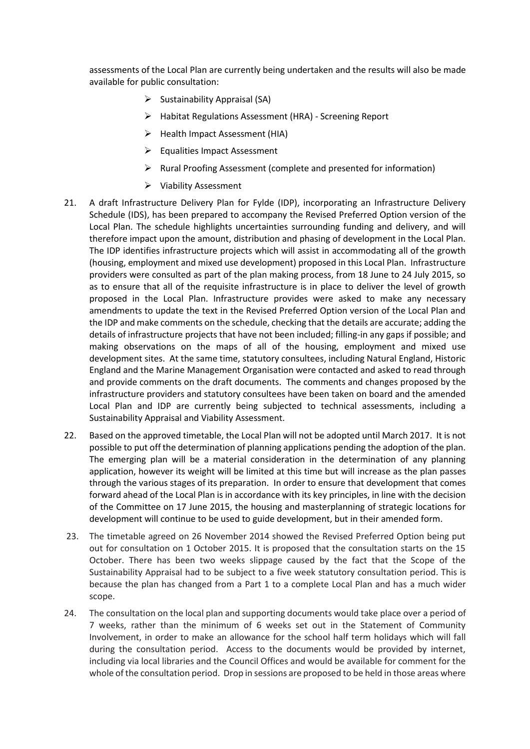assessments of the Local Plan are currently being undertaken and the results will also be made available for public consultation:

- $\triangleright$  Sustainability Appraisal (SA)
- Habitat Regulations Assessment (HRA) Screening Report
- $\triangleright$  Health Impact Assessment (HIA)
- Equalities Impact Assessment
- $\triangleright$  Rural Proofing Assessment (complete and presented for information)
- Viability Assessment
- 21. A draft Infrastructure Delivery Plan for Fylde (IDP), incorporating an Infrastructure Delivery Schedule (IDS), has been prepared to accompany the Revised Preferred Option version of the Local Plan. The schedule highlights uncertainties surrounding funding and delivery, and will therefore impact upon the amount, distribution and phasing of development in the Local Plan. The IDP identifies infrastructure projects which will assist in accommodating all of the growth (housing, employment and mixed use development) proposed in this Local Plan. Infrastructure providers were consulted as part of the plan making process, from 18 June to 24 July 2015, so as to ensure that all of the requisite infrastructure is in place to deliver the level of growth proposed in the Local Plan. Infrastructure provides were asked to make any necessary amendments to update the text in the Revised Preferred Option version of the Local Plan and the IDP and make comments on the schedule, checking that the details are accurate; adding the details of infrastructure projects that have not been included; filling-in any gaps if possible; and making observations on the maps of all of the housing, employment and mixed use development sites. At the same time, statutory consultees, including Natural England, Historic England and the Marine Management Organisation were contacted and asked to read through and provide comments on the draft documents. The comments and changes proposed by the infrastructure providers and statutory consultees have been taken on board and the amended Local Plan and IDP are currently being subjected to technical assessments, including a Sustainability Appraisal and Viability Assessment.
- 22. Based on the approved timetable, the Local Plan will not be adopted until March 2017. It is not possible to put off the determination of planning applications pending the adoption of the plan. The emerging plan will be a material consideration in the determination of any planning application, however its weight will be limited at this time but will increase as the plan passes through the various stages of its preparation. In order to ensure that development that comes forward ahead of the Local Plan is in accordance with its key principles, in line with the decision of the Committee on 17 June 2015, the housing and masterplanning of strategic locations for development will continue to be used to guide development, but in their amended form.
- 23. The timetable agreed on 26 November 2014 showed the Revised Preferred Option being put out for consultation on 1 October 2015. It is proposed that the consultation starts on the 15 October. There has been two weeks slippage caused by the fact that the Scope of the Sustainability Appraisal had to be subject to a five week statutory consultation period. This is because the plan has changed from a Part 1 to a complete Local Plan and has a much wider scope.
- 24. The consultation on the local plan and supporting documents would take place over a period of 7 weeks, rather than the minimum of 6 weeks set out in the Statement of Community Involvement, in order to make an allowance for the school half term holidays which will fall during the consultation period. Access to the documents would be provided by internet, including via local libraries and the Council Offices and would be available for comment for the whole of the consultation period. Drop in sessions are proposed to be held in those areas where